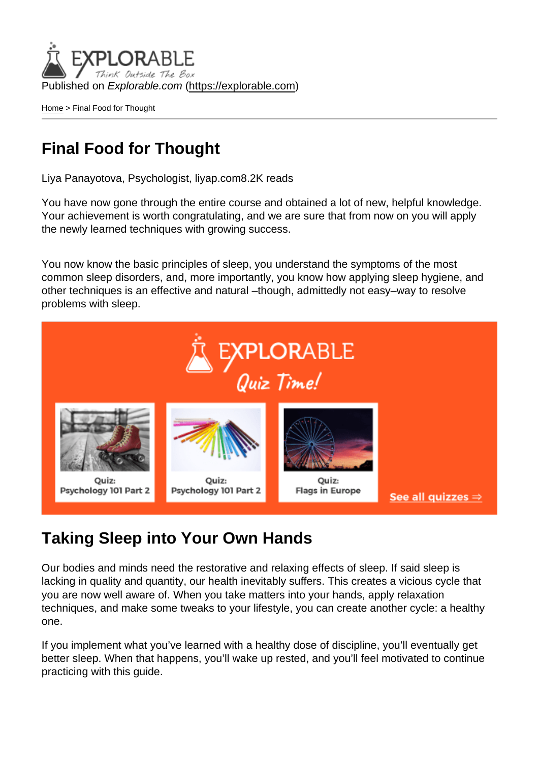Published on Explorable.com (<https://explorable.com>)

[Home](https://explorable.com/) > Final Food for Thought

## Final Food for Thought

Liya Panayotova, Psychologist, liyap.com8.2K reads

You have now gone through the entire course and obtained a lot of new, helpful knowledge. Your achievement is worth congratulating, and we are sure that from now on you will apply the newly learned techniques with growing success.

You now know the basic principles of sleep, you understand the symptoms of the most common sleep disorders, and, more importantly, you know how applying sleep hygiene, and other techniques is an effective and natural –though, admittedly not easy–way to resolve problems with sleep.

## Taking Sleep into Your Own Hands

Our bodies and minds need the restorative and relaxing effects of sleep. If said sleep is lacking in quality and quantity, our health inevitably suffers. This creates a vicious cycle that you are now well aware of. When you take matters into your hands, apply relaxation techniques, and make some tweaks to your lifestyle, you can create another cycle: a healthy one.

If you implement what you've learned with a healthy dose of discipline, you'll eventually get better sleep. When that happens, you'll wake up rested, and you'll feel motivated to continue practicing with this guide.